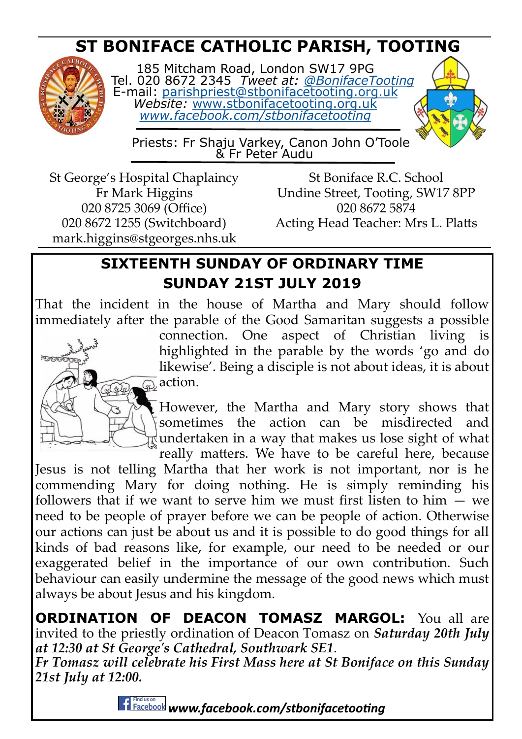# **ST BONIFACE CATHOLIC PARISH, TOOTING**



185 Mitcham Road, London SW17 9PG Tel. 020 8672 2345 *Tweet at: [@BonifaceTooting](http://twitter.com/bonifacetooting)* E-mail: [parishpriest@stbonifacetooting.org.uk](mailto:parishpriest@stbonifacetooting.org.uk) *Website:* [www.stbonifacetooting.org.uk](http://www.stbonifacetooting.org.uk) *[www.facebook.com/stbonifacetooting](http://www.facebook.com/stbonifacetooting)*



 Priests: Fr Shaju Varkey, Canon John O'Toole & Fr Peter Audu

St George's Hospital Chaplaincy Fr Mark Higgins 020 8725 3069 (Office) 020 8672 1255 (Switchboard) mark.higgins@stgeorges.nhs.uk

St Boniface R.C. School Undine Street, Tooting, SW17 8PP 020 8672 5874 Acting Head Teacher: Mrs L. Platts

## **SIXTEENTH SUNDAY OF ORDINARY TIME SUNDAY 21ST JULY 2019**

That the incident in the house of Martha and Mary should follow immediately after the parable of the Good Samaritan suggests a possible



connection. One aspect of Christian living is highlighted in the parable by the words 'go and do likewise'. Being a disciple is not about ideas, it is about  $\overline{\mathbb{Q}}$  action.

However, the Martha and Mary story shows that sometimes the action can be misdirected and  $\mathbb{R}$  undertaken in a way that makes us lose sight of what really matters. We have to be careful here, because

Jesus is not telling Martha that her work is not important, nor is he commending Mary for doing nothing. He is simply reminding his followers that if we want to serve him we must first listen to him  $-$  we need to be people of prayer before we can be people of action. Otherwise our actions can just be about us and it is possible to do good things for all kinds of bad reasons like, for example, our need to be needed or our exaggerated belief in the importance of our own contribution. Such behaviour can easily undermine the message of the good news which must always be about Jesus and his kingdom.

**ORDINATION OF DEACON TOMASZ MARGOL:** You all are invited to the priestly ordination of Deacon Tomasz on *Saturday 20th July at 12:30 at St George's Cathedral, Southwark SE1*.

*Fr Tomasz will celebrate his First Mass here at St Boniface on this Sunday 21st July at 12:00.*

*f* **Facebook** www.facebook.com/stbonifacetooting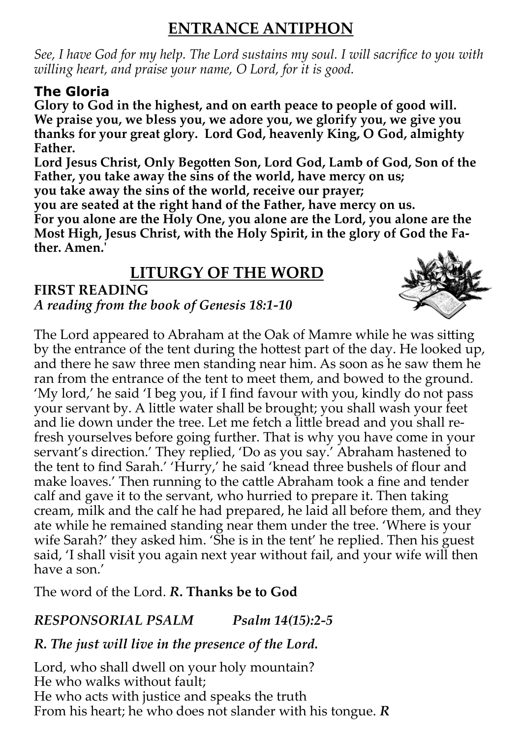# **ENTRANCE ANTIPHON**

*See, I have God for my help. The Lord sustains my soul. I will sacrifice to you with willing heart, and praise your name, O Lord, for it is good.*

### **The Gloria**

**Glory to God in the highest, and on earth peace to people of good will. We praise you, we bless you, we adore you, we glorify you, we give you thanks for your great glory. Lord God, heavenly King, O God, almighty Father.** 

**Lord Jesus Christ, Only Begotten Son, Lord God, Lamb of God, Son of the Father, you take away the sins of the world, have mercy on us;**

**you take away the sins of the world, receive our prayer;**

**you are seated at the right hand of the Father, have mercy on us. For you alone are the Holy One, you alone are the Lord, you alone are the Most High, Jesus Christ, with the Holy Spirit, in the glory of God the Father. Amen.'**

# **LITURGY OF THE WORD**

# **FIRST READING**





The Lord appeared to Abraham at the Oak of Mamre while he was sitting by the entrance of the tent during the hottest part of the day. He looked up, and there he saw three men standing near him. As soon as he saw them he ran from the entrance of the tent to meet them, and bowed to the ground. 'My lord,' he said 'I beg you, if I find favour with you, kindly do not pass your servant by. A little water shall be brought; you shall wash your feet and lie down under the tree. Let me fetch a little bread and you shall refresh yourselves before going further. That is why you have come in your servant's direction.' They replied, 'Do as you say.' Abraham hastened to the tent to find Sarah.' 'Hurry,' he said 'knead three bushels of flour and make loaves.' Then running to the cattle Abraham took a fine and tender calf and gave it to the servant, who hurried to prepare it. Then taking cream, milk and the calf he had prepared, he laid all before them, and they ate while he remained standing near them under the tree. 'Where is your wife Sarah?' they asked him. 'She is in the tent' he replied. Then his guest said, 'I shall visit you again next year without fail, and your wife will then have a son.'

The word of the Lord. *R***. Thanks be to God**

### *RESPONSORIAL PSALM Psalm 14(15):2-5*

### *R. The just will live in the presence of the Lord.*

Lord, who shall dwell on your holy mountain? He who walks without fault; He who acts with justice and speaks the truth From his heart; he who does not slander with his tongue. *R*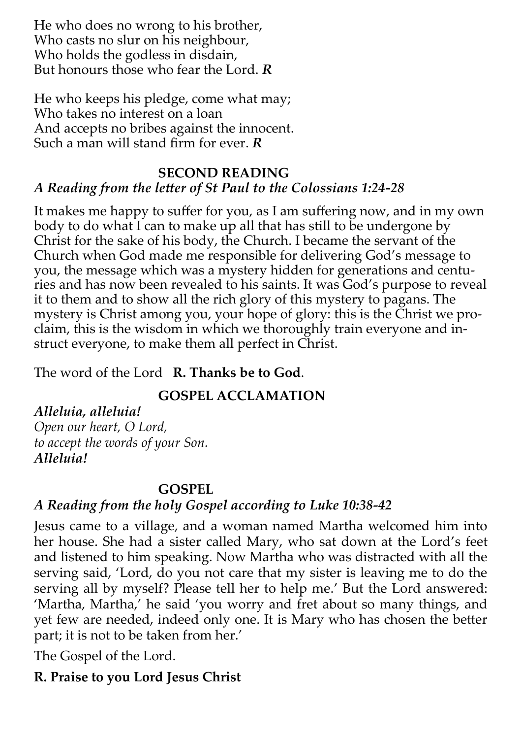He who does no wrong to his brother, Who casts no slur on his neighbour, Who holds the godless in disdain, But honours those who fear the Lord. *R*

He who keeps his pledge, come what may; Who takes no interest on a loan And accepts no bribes against the innocent. Such a man will stand firm for ever. *R*

#### **SECOND READING**  *A Reading from the letter of St Paul to the Colossians 1:24-28*

It makes me happy to suffer for you, as I am suffering now, and in my own body to do what I can to make up all that has still to be undergone by Christ for the sake of his body, the Church. I became the servant of the Church when God made me responsible for delivering God's message to you, the message which was a mystery hidden for generations and centuries and has now been revealed to his saints. It was God's purpose to reveal it to them and to show all the rich glory of this mystery to pagans. The mystery is Christ among you, your hope of glory: this is the Christ we proclaim, this is the wisdom in which we thoroughly train everyone and instruct everyone, to make them all perfect in Christ.

The word of the Lord **R. Thanks be to God**.

### **GOSPEL ACCLAMATION**

### *Alleluia, alleluia!*

*Open our heart, O Lord, to accept the words of your Son. Alleluia!*

### **GOSPEL**

### *A Reading from the holy Gospel according to Luke 10:38-42*

Jesus came to a village, and a woman named Martha welcomed him into her house. She had a sister called Mary, who sat down at the Lord's feet and listened to him speaking. Now Martha who was distracted with all the serving said, 'Lord, do you not care that my sister is leaving me to do the serving all by myself? Please tell her to help me.' But the Lord answered: 'Martha, Martha,' he said 'you worry and fret about so many things, and yet few are needed, indeed only one. It is Mary who has chosen the better part; it is not to be taken from her.'

The Gospel of the Lord.

## **R. Praise to you Lord Jesus Christ**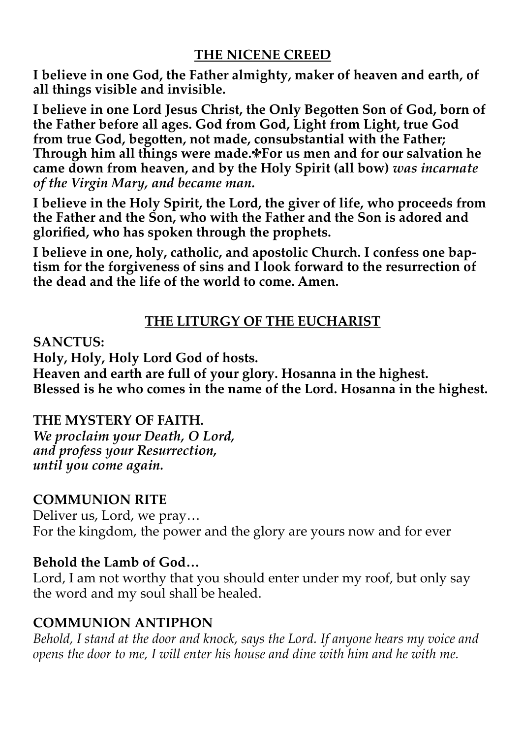#### **THE NICENE CREED**

**I believe in one God, the Father almighty, maker of heaven and earth, of all things visible and invisible.**

**I believe in one Lord Jesus Christ, the Only Begotten Son of God, born of the Father before all ages. God from God, Light from Light, true God from true God, begotten, not made, consubstantial with the Father; Through him all things were made.
For us men and for our salvation he came down from heaven, and by the Holy Spirit (all bow)** *was incarnate of the Virgin Mary, and became man.*

**I believe in the Holy Spirit, the Lord, the giver of life, who proceeds from the Father and the Son, who with the Father and the Son is adored and glorified, who has spoken through the prophets.**

**I believe in one, holy, catholic, and apostolic Church. I confess one baptism for the forgiveness of sins and I look forward to the resurrection of the dead and the life of the world to come. Amen.** 

#### **THE LITURGY OF THE EUCHARIST**

**SANCTUS:**

**Holy, Holy, Holy Lord God of hosts.**

**Heaven and earth are full of your glory. Hosanna in the highest. Blessed is he who comes in the name of the Lord. Hosanna in the highest.** 

#### **THE MYSTERY OF FAITH.**

*We proclaim your Death, O Lord, and profess your Resurrection, until you come again.* 

#### **COMMUNION RITE**

Deliver us, Lord, we pray… For the kingdom, the power and the glory are yours now and for ever

#### **Behold the Lamb of God…**

Lord, I am not worthy that you should enter under my roof, but only say the word and my soul shall be healed.

#### **COMMUNION ANTIPHON**

*Behold, I stand at the door and knock, says the Lord. If anyone hears my voice and opens the door to me, I will enter his house and dine with him and he with me.*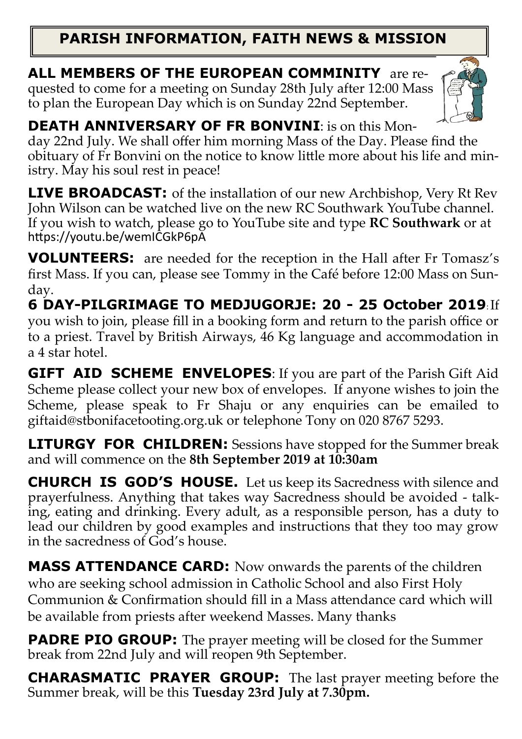# **PARISH INFORMATION, FAITH NEWS & MISSION**

**ALL MEMBERS OF THE EUROPEAN COMMINITY** are re-

quested to come for a meeting on Sunday 28th July after 12:00 Mass to plan the European Day which is on Sunday 22nd September.

# **DEATH ANNIVERSARY OF FR BONVINI**: is on this Mon-

day 22nd July. We shall offer him morning Mass of the Day. Please find the obituary of Fr Bonvini on the notice to know little more about his life and ministry. May his soul rest in peace!

**LIVE BROADCAST:** of the installation of our new Archbishop, Very Rt Rev John Wilson can be watched live on the new RC Southwark YouTube channel. If you wish to watch, please go to YouTube site and type **RC Southwark** or at https://youtu.be/wemICGkP6pA

**VOLUNTEERS:** are needed for the reception in the Hall after Fr Tomasz's first Mass. If you can, please see Tommy in the Café before 12:00 Mass on Sunday.

**6 DAY-PILGRIMAGE TO MEDJUGORJE: 20 - 25 October 2019**: If you wish to join, please fill in a booking form and return to the parish office or to a priest. Travel by British Airways, 46 Kg language and accommodation in a 4 star hotel.

**GIFT AID SCHEME ENVELOPES**: If you are part of the Parish Gift Aid Scheme please collect your new box of envelopes. If anyone wishes to join the Scheme, please speak to Fr Shaju or any enquiries can be emailed to giftaid@stbonifacetooting.org.uk or telephone Tony on 020 8767 5293.

**LITURGY FOR CHILDREN:** Sessions have stopped for the Summer break and will commence on the **8th September 2019 at 10:30am** 

**CHURCH IS GOD'S HOUSE.** Let us keep its Sacredness with silence and prayerfulness. Anything that takes way Sacredness should be avoided - talking, eating and drinking. Every adult, as a responsible person, has a duty to lead our children by good examples and instructions that they too may grow in the sacredness of God's house.

**MASS ATTENDANCE CARD:** Now onwards the parents of the children who are seeking school admission in Catholic School and also First Holy Communion & Confirmation should fill in a Mass attendance card which will be available from priests after weekend Masses. Many thanks

**PADRE PIO GROUP:** The prayer meeting will be closed for the Summer break from 22nd July and will reopen 9th September.

**CHARASMATIC PRAYER GROUP:** The last prayer meeting before the Summer break, will be this **Tuesday 23rd July at 7.30pm.**

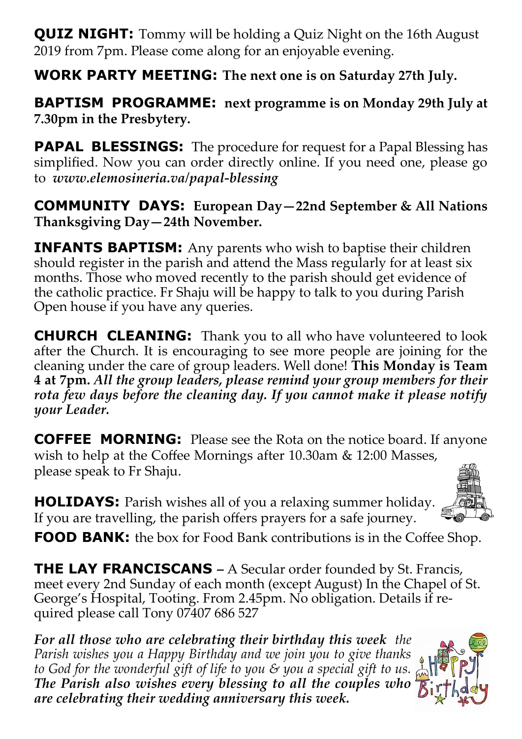**QUIZ NIGHT:** Tommy will be holding a Quiz Night on the 16th August 2019 from 7pm. Please come along for an enjoyable evening.

### **WORK PARTY MEETING: The next one is on Saturday 27th July.**

**BAPTISM PROGRAMME: next programme is on Monday 29th July at 7.30pm in the Presbytery.** 

**PAPAL BLESSINGS:** The procedure for request for a Papal Blessing has simplified. Now you can order directly online. If you need one, please go to *www.elemosineria.va/papal-blessing*

**COMMUNITY DAYS: European Day—22nd September & All Nations Thanksgiving Day—24th November.**

**INFANTS BAPTISM:** Any parents who wish to baptise their children should register in the parish and attend the Mass regularly for at least six months. Those who moved recently to the parish should get evidence of the catholic practice. Fr Shaju will be happy to talk to you during Parish Open house if you have any queries.

**CHURCH CLEANING:** Thank you to all who have volunteered to look after the Church. It is encouraging to see more people are joining for the cleaning under the care of group leaders. Well done! **This Monday is Team 4 at 7pm.** *All the group leaders, please remind your group members for their rota few days before the cleaning day. If you cannot make it please notify your Leader.* 

**COFFEE MORNING:** Please see the Rota on the notice board. If anyone wish to help at the Coffee Mornings after 10.30am & 12:00 Masses, please speak to Fr Shaju.

**HOLIDAYS:** Parish wishes all of you a relaxing summer holiday. If you are travelling, the parish offers prayers for a safe journey.

**FOOD BANK:** the box for Food Bank contributions is in the Coffee Shop.

**THE LAY FRANCISCANS –** A Secular order founded by St. Francis, meet every 2nd Sunday of each month (except August) In the Chapel of St. George's Hospital, Tooting. From 2.45pm. No obligation. Details if required please call Tony 07407 686 527

*For all those who are celebrating their birthday this week the Parish wishes you a Happy Birthday and we join you to give thanks to God for the wonderful gift of life to you & you a special gift to us. The Parish also wishes every blessing to all the couples who are celebrating their wedding anniversary this week.*

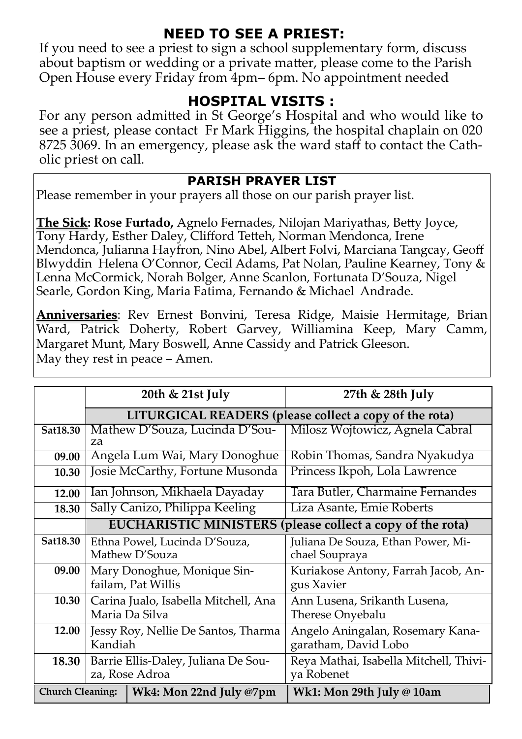### **NEED TO SEE A PRIEST:**

If you need to see a priest to sign a school supplementary form, discuss about baptism or wedding or a private matter, please come to the Parish Open House every Friday from 4pm– 6pm. No appointment needed

### **HOSPITAL VISITS :**

For any person admitted in St George's Hospital and who would like to see a priest, please contact Fr Mark Higgins, the hospital chaplain on 020 8725 3069. In an emergency, please ask the ward staff to contact the Catholic priest on call.

#### **PARISH PRAYER LIST**

Please remember in your prayers all those on our parish prayer list.

**The Sick: Rose Furtado,** Agnelo Fernades, Nilojan Mariyathas, Betty Joyce, Tony Hardy, Esther Daley, Clifford Tetteh, Norman Mendonca, Irene Mendonca, Julianna Hayfron, Nino Abel, Albert Folvi, Marciana Tangcay, Geoff Blwyddin Helena O'Connor, Cecil Adams, Pat Nolan, Pauline Kearney, Tony & Lenna McCormick, Norah Bolger, Anne Scanlon, Fortunata D'Souza, Nigel Searle, Gordon King, Maria Fatima, Fernando & Michael Andrade.

**Anniversaries**: Rev Ernest Bonvini, Teresa Ridge, Maisie Hermitage, Brian Ward, Patrick Doherty, Robert Garvey, Williamina Keep, Mary Camm, Margaret Munt, Mary Boswell, Anne Cassidy and Patrick Gleeson. May they rest in peace – Amen.

|                         |                                                                  | 20th & 21st July               | 27th & 28th July                       |  |  |
|-------------------------|------------------------------------------------------------------|--------------------------------|----------------------------------------|--|--|
|                         | LITURGICAL READERS (please collect a copy of the rota)           |                                |                                        |  |  |
| Sat18.30                |                                                                  | Mathew D'Souza, Lucinda D'Sou- | Milosz Wojtowicz, Agnela Cabral        |  |  |
|                         | za                                                               |                                |                                        |  |  |
| 09.00                   |                                                                  | Angela Lum Wai, Mary Donoghue  | Robin Thomas, Sandra Nyakudya          |  |  |
| 10.30                   | Josie McCarthy, Fortune Musonda                                  |                                | Princess Ikpoh, Lola Lawrence          |  |  |
| 12.00                   | Ian Johnson, Mikhaela Dayaday                                    |                                | Tara Butler, Charmaine Fernandes       |  |  |
| 18.30                   | Sally Canizo, Philippa Keeling<br>Liza Asante, Emie Roberts      |                                |                                        |  |  |
|                         | <b>EUCHARISTIC MINISTERS (please collect a copy of the rota)</b> |                                |                                        |  |  |
| Sat18.30                |                                                                  | Ethna Powel, Lucinda D'Souza,  | Juliana De Souza, Ethan Power, Mi-     |  |  |
|                         |                                                                  | Mathew D'Souza                 | chael Soupraya                         |  |  |
| 09.00                   | Mary Donoghue, Monique Sin-                                      |                                | Kuriakose Antony, Farrah Jacob, An-    |  |  |
|                         | failam, Pat Willis                                               |                                | gus Xavier                             |  |  |
| 10.30                   | Carina Jualo, Isabella Mitchell, Ana                             |                                | Ann Lusena, Srikanth Lusena,           |  |  |
|                         | Maria Da Silva                                                   |                                | Therese Onyebalu                       |  |  |
| 12.00                   | Jessy Roy, Nellie De Santos, Tharma                              |                                | Angelo Aningalan, Rosemary Kana-       |  |  |
|                         | Kandiah                                                          |                                | garatham, David Lobo                   |  |  |
| 18.30                   | Barrie Ellis-Daley, Juliana De Sou-                              |                                | Reya Mathai, Isabella Mitchell, Thivi- |  |  |
|                         | za, Rose Adroa                                                   |                                | ya Robenet                             |  |  |
| <b>Church Cleaning:</b> |                                                                  | Wk4: Mon 22nd July @7pm        | Wk1: Mon 29th July $@$ 10am            |  |  |